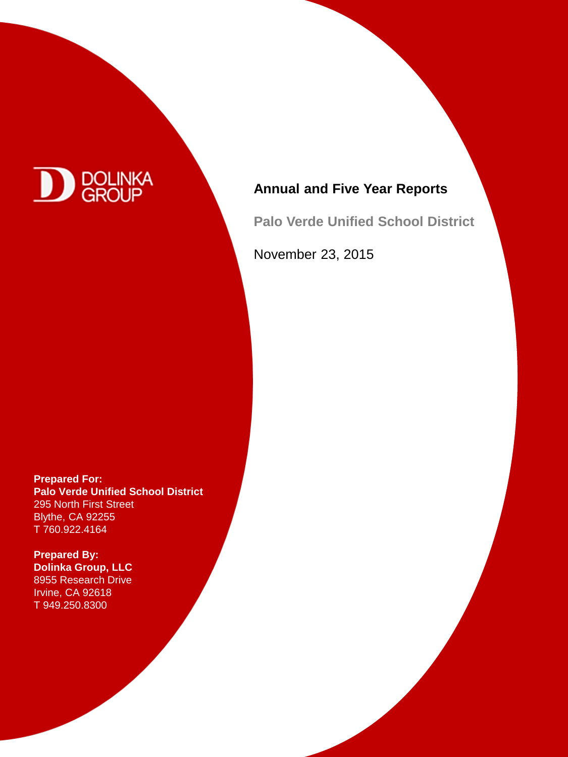

# **Annual and Five Year Reports**

**Palo Verde Unified School District** 

November 23, 2015

**Prepared For: Palo Verde Unified School District** 295 North First Street Blythe, CA 92255 T 760.922.4164

**Prepared For:** 8955 Research Drive u*soo*l Research Drive<br>Irvine, CA 92618  $181110, 070$ T 949.250.8300 **Prepared By: Dolinka Group, LLC**

20 Pacifica, Suite 900

T 949.250.8300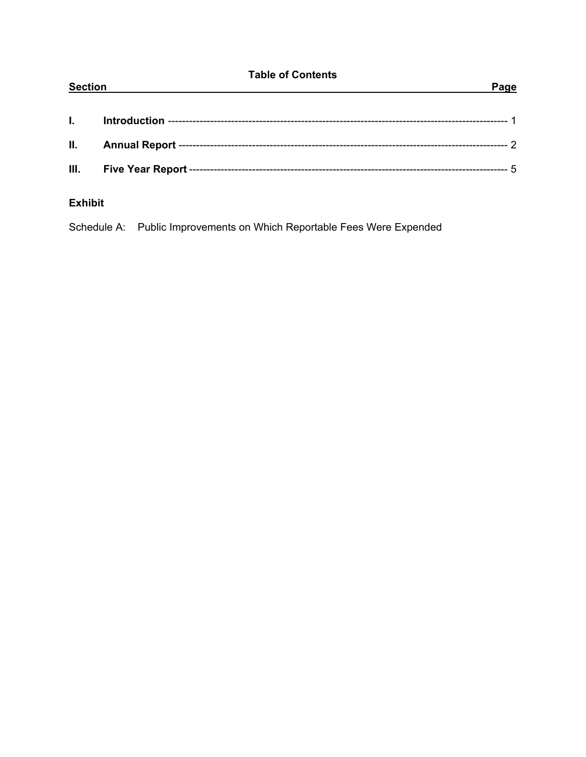| <b>Table of Contents</b><br><b>Section</b><br>Page |  |  |
|----------------------------------------------------|--|--|
| L.                                                 |  |  |
| II.                                                |  |  |
| III.                                               |  |  |
| <b>Exhibit</b>                                     |  |  |

Schedule A: Public Improvements on Which Reportable Fees Were Expended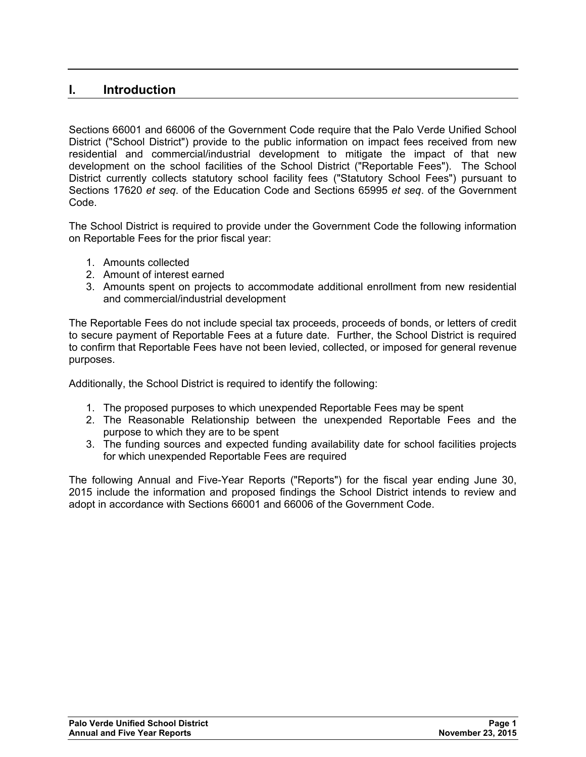# **I. Introduction**

Sections 66001 and 66006 of the Government Code require that the Palo Verde Unified School District ("School District") provide to the public information on impact fees received from new residential and commercial/industrial development to mitigate the impact of that new development on the school facilities of the School District ("Reportable Fees"). The School District currently collects statutory school facility fees ("Statutory School Fees") pursuant to Sections 17620 *et seq*. of the Education Code and Sections 65995 *et seq*. of the Government Code.

The School District is required to provide under the Government Code the following information on Reportable Fees for the prior fiscal year:

- 1. Amounts collected
- 2. Amount of interest earned
- 3. Amounts spent on projects to accommodate additional enrollment from new residential and commercial/industrial development

The Reportable Fees do not include special tax proceeds, proceeds of bonds, or letters of credit to secure payment of Reportable Fees at a future date. Further, the School District is required to confirm that Reportable Fees have not been levied, collected, or imposed for general revenue purposes.

Additionally, the School District is required to identify the following:

- 1. The proposed purposes to which unexpended Reportable Fees may be spent
- 2. The Reasonable Relationship between the unexpended Reportable Fees and the purpose to which they are to be spent
- 3. The funding sources and expected funding availability date for school facilities projects for which unexpended Reportable Fees are required

The following Annual and Five-Year Reports ("Reports") for the fiscal year ending June 30, 2015 include the information and proposed findings the School District intends to review and adopt in accordance with Sections 66001 and 66006 of the Government Code.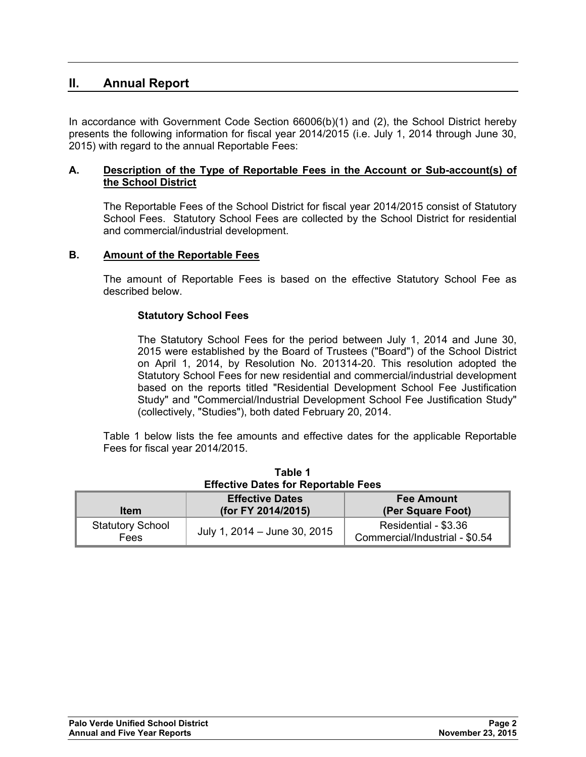# **II. Annual Report**

In accordance with Government Code Section 66006(b)(1) and (2), the School District hereby presents the following information for fiscal year 2014/2015 (i.e. July 1, 2014 through June 30, 2015) with regard to the annual Reportable Fees:

#### **A. Description of the Type of Reportable Fees in the Account or Sub-account(s) of the School District**

The Reportable Fees of the School District for fiscal year 2014/2015 consist of Statutory School Fees. Statutory School Fees are collected by the School District for residential and commercial/industrial development.

### **B. Amount of the Reportable Fees**

The amount of Reportable Fees is based on the effective Statutory School Fee as described below.

#### **Statutory School Fees**

The Statutory School Fees for the period between July 1, 2014 and June 30, 2015 were established by the Board of Trustees ("Board") of the School District on April 1, 2014, by Resolution No. 201314-20. This resolution adopted the Statutory School Fees for new residential and commercial/industrial development based on the reports titled "Residential Development School Fee Justification Study" and "Commercial/Industrial Development School Fee Justification Study" (collectively, "Studies"), both dated February 20, 2014.

Table 1 below lists the fee amounts and effective dates for the applicable Reportable Fees for fiscal year 2014/2015.

| <b>Effective Dates for Reportable Fees</b> |                                              |                                                        |  |
|--------------------------------------------|----------------------------------------------|--------------------------------------------------------|--|
| <b>Item</b>                                | <b>Effective Dates</b><br>(for FY 2014/2015) | <b>Fee Amount</b><br>(Per Square Foot)                 |  |
| <b>Statutory School</b><br>Fees            | July 1, 2014 - June 30, 2015                 | Residential - \$3.36<br>Commercial/Industrial - \$0.54 |  |

**Table 1**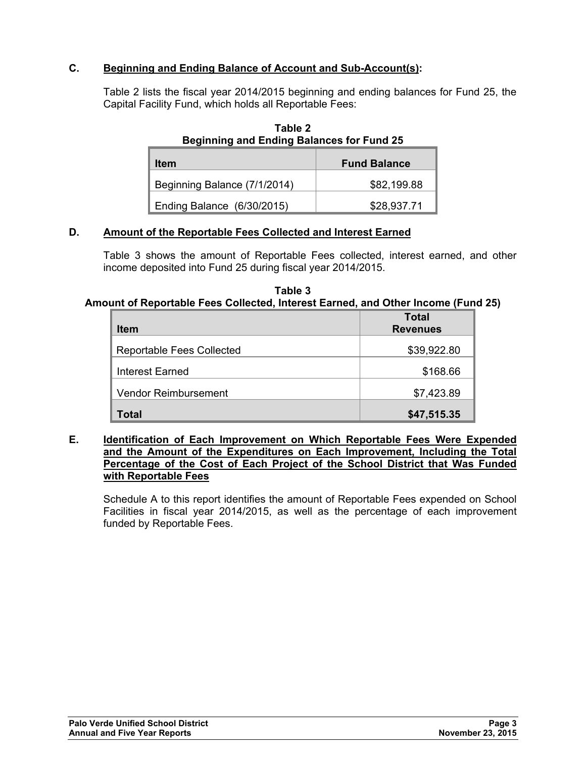## **C. Beginning and Ending Balance of Account and Sub-Account(s):**

Table 2 lists the fiscal year 2014/2015 beginning and ending balances for Fund 25, the Capital Facility Fund, which holds all Reportable Fees:

| Item                         | <b>Fund Balance</b> |
|------------------------------|---------------------|
| Beginning Balance (7/1/2014) | \$82,199.88         |
| Ending Balance (6/30/2015)   | \$28,937.71         |

**Table 2 Beginning and Ending Balances for Fund 25** 

## **D. Amount of the Reportable Fees Collected and Interest Earned**

Table 3 shows the amount of Reportable Fees collected, interest earned, and other income deposited into Fund 25 during fiscal year 2014/2015.

| Table 3                                                                          |  |
|----------------------------------------------------------------------------------|--|
| Amount of Reportable Fees Collected, Interest Earned, and Other Income (Fund 25) |  |

|                                  | <b>Total</b>    |
|----------------------------------|-----------------|
| <b>Item</b>                      | <b>Revenues</b> |
| <b>Reportable Fees Collected</b> | \$39,922.80     |
| <b>Interest Earned</b>           | \$168.66        |
| <b>Vendor Reimbursement</b>      | \$7,423.89      |
| Total                            | \$47,515.35     |

#### **E. Identification of Each Improvement on Which Reportable Fees Were Expended and the Amount of the Expenditures on Each Improvement, Including the Total Percentage of the Cost of Each Project of the School District that Was Funded with Reportable Fees**

Schedule A to this report identifies the amount of Reportable Fees expended on School Facilities in fiscal year 2014/2015, as well as the percentage of each improvement funded by Reportable Fees.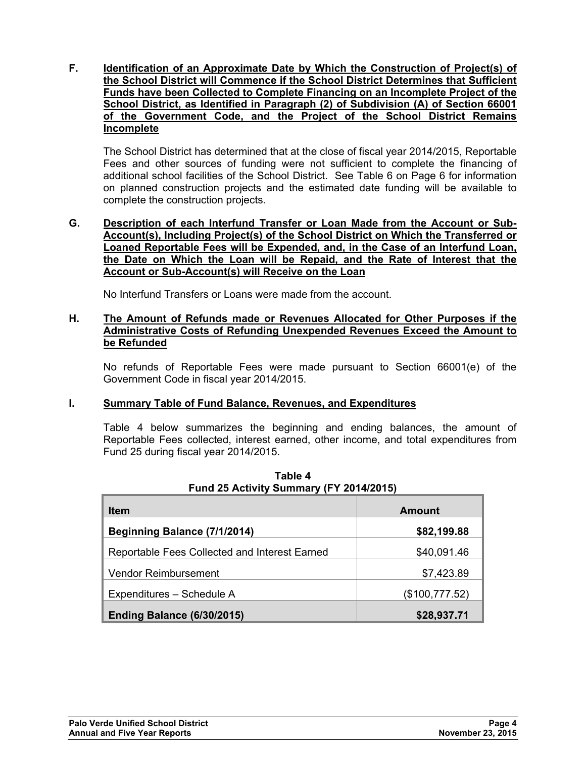**F. Identification of an Approximate Date by Which the Construction of Project(s) of the School District will Commence if the School District Determines that Sufficient Funds have been Collected to Complete Financing on an Incomplete Project of the School District, as Identified in Paragraph (2) of Subdivision (A) of Section 66001 of the Government Code, and the Project of the School District Remains Incomplete**

The School District has determined that at the close of fiscal year 2014/2015, Reportable Fees and other sources of funding were not sufficient to complete the financing of additional school facilities of the School District. See Table 6 on Page 6 for information on planned construction projects and the estimated date funding will be available to complete the construction projects.

#### **G. Description of each Interfund Transfer or Loan Made from the Account or Sub-Account(s), Including Project(s) of the School District on Which the Transferred or Loaned Reportable Fees will be Expended, and, in the Case of an Interfund Loan, the Date on Which the Loan will be Repaid, and the Rate of Interest that the Account or Sub-Account(s) will Receive on the Loan**

No Interfund Transfers or Loans were made from the account.

#### **H. The Amount of Refunds made or Revenues Allocated for Other Purposes if the Administrative Costs of Refunding Unexpended Revenues Exceed the Amount to be Refunded**

No refunds of Reportable Fees were made pursuant to Section 66001(e) of the Government Code in fiscal year 2014/2015.

### **I. Summary Table of Fund Balance, Revenues, and Expenditures**

Table 4 below summarizes the beginning and ending balances, the amount of Reportable Fees collected, interest earned, other income, and total expenditures from Fund 25 during fiscal year 2014/2015.

| <b>Item</b>                                   | Amount         |
|-----------------------------------------------|----------------|
| Beginning Balance (7/1/2014)                  | \$82,199.88    |
| Reportable Fees Collected and Interest Earned | \$40,091.46    |
| <b>Vendor Reimbursement</b>                   | \$7,423.89     |
| Expenditures - Schedule A                     | (\$100,777.52) |
| <b>Ending Balance (6/30/2015)</b>             | \$28,937.71    |

**Table 4 Fund 25 Activity Summary (FY 2014/2015)**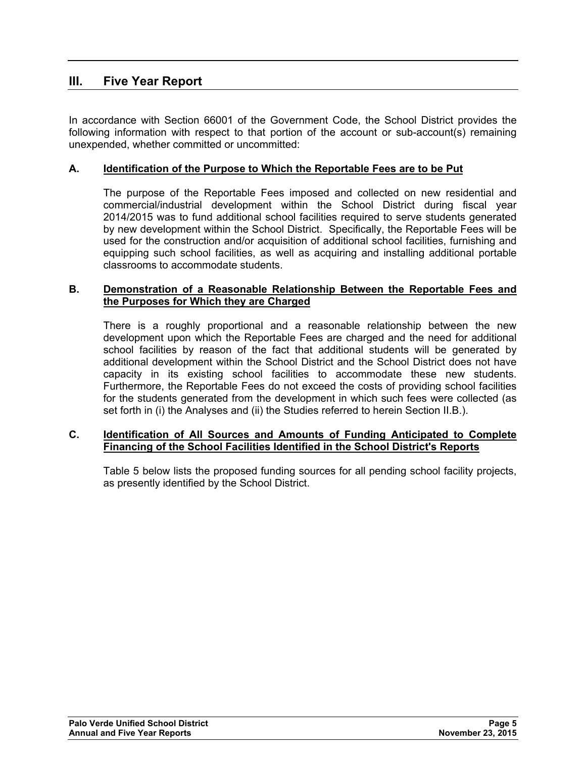## **III. Five Year Report**

In accordance with Section 66001 of the Government Code, the School District provides the following information with respect to that portion of the account or sub-account(s) remaining unexpended, whether committed or uncommitted:

## **A. Identification of the Purpose to Which the Reportable Fees are to be Put**

The purpose of the Reportable Fees imposed and collected on new residential and commercial/industrial development within the School District during fiscal year 2014/2015 was to fund additional school facilities required to serve students generated by new development within the School District. Specifically, the Reportable Fees will be used for the construction and/or acquisition of additional school facilities, furnishing and equipping such school facilities, as well as acquiring and installing additional portable classrooms to accommodate students.

#### **B. Demonstration of a Reasonable Relationship Between the Reportable Fees and the Purposes for Which they are Charged**

There is a roughly proportional and a reasonable relationship between the new development upon which the Reportable Fees are charged and the need for additional school facilities by reason of the fact that additional students will be generated by additional development within the School District and the School District does not have capacity in its existing school facilities to accommodate these new students. Furthermore, the Reportable Fees do not exceed the costs of providing school facilities for the students generated from the development in which such fees were collected (as set forth in (i) the Analyses and (ii) the Studies referred to herein Section II.B.).

#### **C. Identification of All Sources and Amounts of Funding Anticipated to Complete Financing of the School Facilities Identified in the School District's Reports**

Table 5 below lists the proposed funding sources for all pending school facility projects, as presently identified by the School District.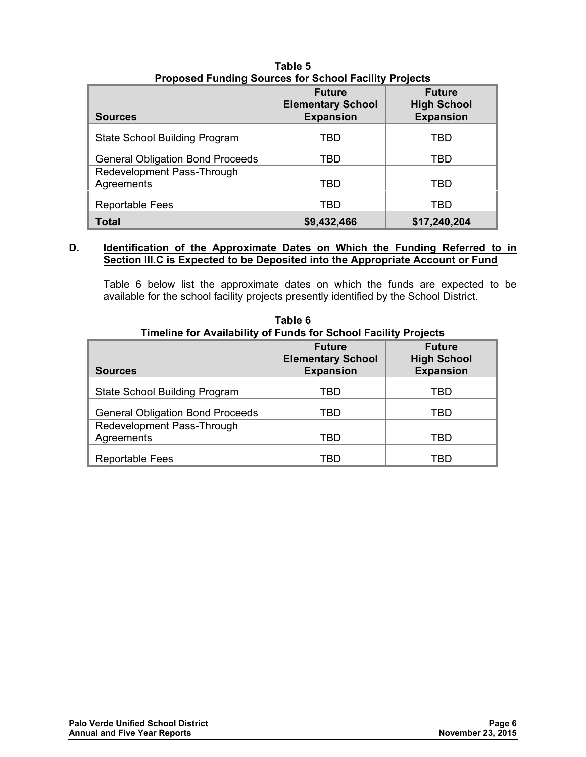| <b>Sources</b>                           | <b>Future</b><br><b>Elementary School</b><br><b>Expansion</b> | <b>Future</b><br><b>High School</b><br><b>Expansion</b> |
|------------------------------------------|---------------------------------------------------------------|---------------------------------------------------------|
| State School Building Program            | TBD                                                           | TBD                                                     |
| <b>General Obligation Bond Proceeds</b>  | TBD                                                           | TBD                                                     |
| Redevelopment Pass-Through<br>Agreements | TBD                                                           | TBD                                                     |
| <b>Reportable Fees</b>                   | TBD                                                           | TBD                                                     |
| <b>Total</b>                             | \$9,432,466                                                   | \$17,240,204                                            |

**Table 5 Proposed Funding Sources for School Facility Projects** 

#### **D. Identification of the Approximate Dates on Which the Funding Referred to in Section III.C is Expected to be Deposited into the Appropriate Account or Fund**

Table 6 below list the approximate dates on which the funds are expected to be available for the school facility projects presently identified by the School District.

|                                          | <b>Future</b><br><b>Elementary School</b> | <b>Future</b><br><b>High School</b> |
|------------------------------------------|-------------------------------------------|-------------------------------------|
| <b>Sources</b>                           | <b>Expansion</b>                          | <b>Expansion</b>                    |
| State School Building Program            | TBD                                       | TBD                                 |
| <b>General Obligation Bond Proceeds</b>  | TBD                                       | TBD                                 |
| Redevelopment Pass-Through<br>Agreements | TBD                                       | TBD                                 |
| <b>Reportable Fees</b>                   | TBD                                       | TBD                                 |

**Table 6 Timeline for Availability of Funds for School Facility Projects**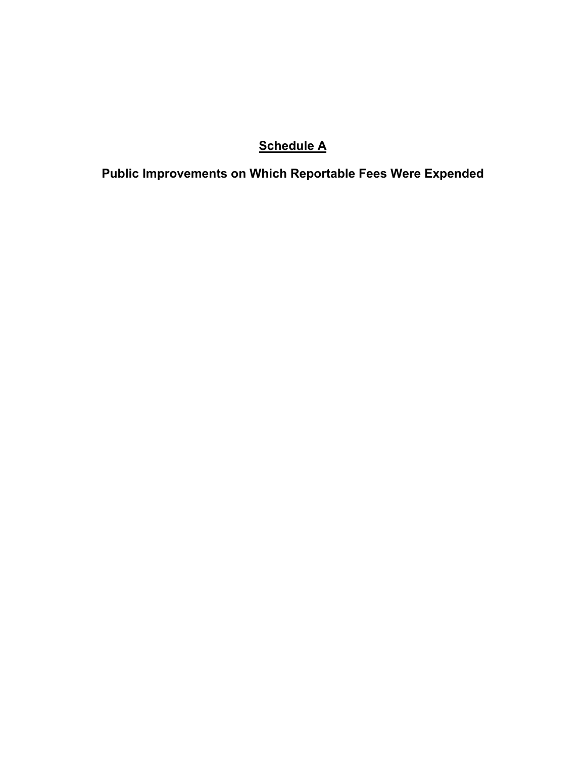# **Schedule A**

**Public Improvements on Which Reportable Fees Were Expended**